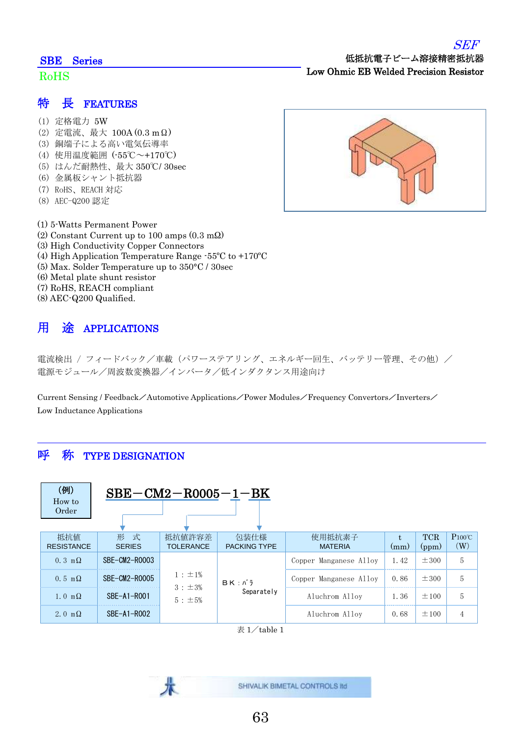#### SBE Series

#### RoHS

#### 特 長 FEATURES

- (1) 定格電力 5W
- (2) 定電流、最大 100A (0.3 mΩ)
- (3) 銅端子による高い電気伝導率
- (4) 使用温度範囲 (-55℃~+170℃)
- (5) はんだ耐熱性、最大 350℃/ 30sec
- (6) 金属板シャント抵抗器
- (7) RoHS、REACH 対応
- (8) AEC-Q200 認定
- (1) 5-Watts Permanent Power
- (2) Constant Current up to 100 amps (0.3 mΩ)
- (3) High Conductivity Copper Connectors
- (4) High Application Temperature Range -55ºC to +170ºC
- (5) Max. Solder Temperature up to 350°C / 30sec
- (6) Metal plate shunt resistor
- (7) RoHS, REACH compliant
- (8) AEC-Q200 Qualified.

# 用 途 APPLICATIONS

電流検出 / フィードバック/車載 (パワーステアリング、エネルギー回生、バッテリー管理、その他) / 電源モジュール/周波数変換器/インバータ/低インダクタンス用途向け

Current Sensing / Feedback/Automotive Applications/Power Modules/Frequency Convertors/Inverters/ Low Inductance Applications

#### 呼 称 TYPE DESIGNATION

| (例)<br>How to<br>Order   | $SBE-CM2-R0005-1-BK$    |                                           |                             |                          |      |                     |                        |  |  |
|--------------------------|-------------------------|-------------------------------------------|-----------------------------|--------------------------|------|---------------------|------------------------|--|--|
| 抵抗值<br><b>RESISTANCE</b> | 式<br>形<br><b>SERIES</b> | 抵抗值許容差<br><b>TOLERANCE</b>                | 包装仕様<br><b>PACKING TYPE</b> | 使用抵抗素子<br><b>MATERIA</b> | (mm) | <b>TCR</b><br>(ppm) | $P100^{\circ}C$<br>(W) |  |  |
| $0.3 \text{ m}\Omega$    | $SBF-CM2-R0003$         | $1 : \pm 1\%$<br>3 : ±3%<br>$5 : \pm 5\%$ | $BK: N$ ;<br>Separately     | Copper Manganese Alloy   | 1.42 | $\pm 300$           | 5                      |  |  |
| $0.5 \text{ m}\Omega$    | $SBF-CM2-R0005$         |                                           |                             | Copper Manganese Alloy   | 0.86 | $\pm 300$           | 5                      |  |  |
| 1.0 m $\Omega$           | $SBF-A1-R001$           |                                           |                             | Aluchrom Allov           | 1.36 | $\pm 100$           | 5                      |  |  |
| 2. 0 m $\Omega$          | $SBE-A1-R002$           |                                           |                             | Aluchrom Allov           | 0.68 | ±100                | $\overline{4}$         |  |  |

 $\overline{\mathcal{R}}$  1/table 1

63

SHIVALIK BIMETAL CONTROLS Itd



低抵抗電子ビーム溶接精密抵抗器

Low Ohmic EB Welded Precision Resistor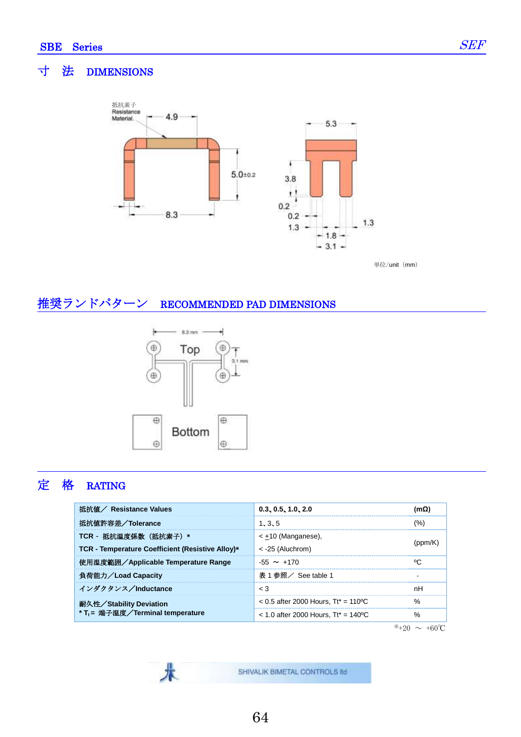Ī

### 寸 法 DIMENSIONS



単位/unit (mm)

## 推奨ランドパターン RECOMMENDED PAD DIMENSIONS



术

## 定 格 RATING

| 抵抗値/ Resistance Values                           | 0.3, 0.5, 1.0, 2.0                     | (MSZ    |  |
|--------------------------------------------------|----------------------------------------|---------|--|
| 抵抗値許容差/Tolerance                                 | 1, 3, 5                                | $(\% )$ |  |
| TCR - 抵抗温度係数 (抵抗素子) *                            | $\leq$ +10 (Manganese),                |         |  |
| TCR - Temperature Coefficient (Resistive Alloy)* | $<$ -25 (Aluchrom)                     |         |  |
| 使用温度範囲/Applicable Temperature Range              | $-55 \sim +170$                        | °C      |  |
| 負荷能力/Load Capacity                               | 表 1 参照/ See table 1                    |         |  |
| インダクタンス/Inductance                               | $\leq 3$                               | nH      |  |
| 耐久性/Stability Deviation                          | $< 0.5$ after 2000 Hours. Tt* = 110 °C | %       |  |
| * T <sub>t</sub> = 端子温度/Terminal temperature     | $<$ 1.0 after 2000 Hours. Tt* = 140 °C | %       |  |

 $*+20 \sim +60^{\circ}C$ 

SHIVALIK BIMETAL CONTROLS IId